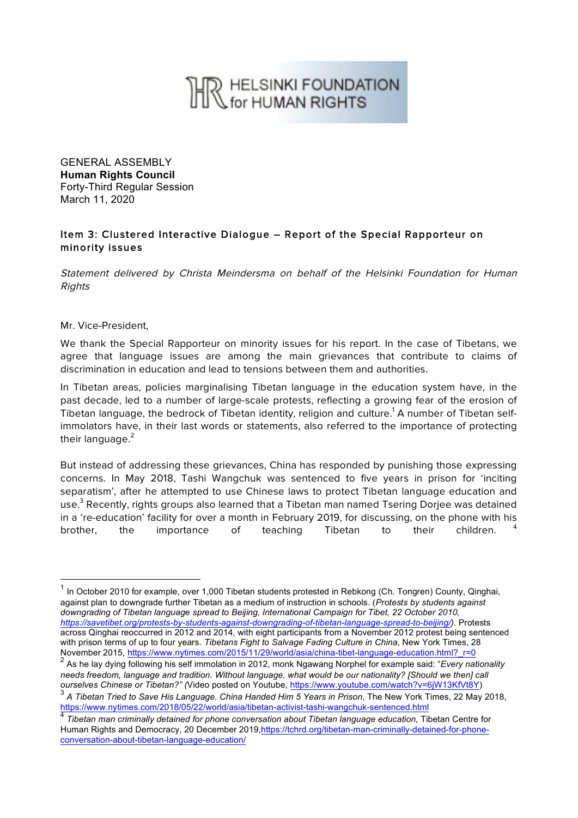## R HELSINKI FOUNDATION

GENERAL ASSEMBLY **Human Rights Council** Forty-Third Regular Session March 11, 2020

## Item 3: Clustered Interactive Dialogue – Report of the Special Rapporteur on minority issues

Statement delivered by Christa Meindersma on behalf of the Helsinki Foundation for Human **Rights** 

Mr. Vice-President,

We thank the Special Rapporteur on minority issues for his report. In the case of Tibetans, we agree that language issues are among the main grievances that contribute to claims of discrimination in education and lead to tensions between them and authorities.

In Tibetan areas, policies marginalising Tibetan language in the education system have, in the past decade, led to a number of large-scale protests, reflecting a growing fear of the erosion of Tibetan language, the bedrock of Tibetan identity, religion and culture.<sup>1</sup> A number of Tibetan selfimmolators have, in their last words or statements, also referred to the importance of protecting their language. $2$ 

But instead of addressing these grievances, China has responded by punishing those expressing concerns. In May 2018, Tashi Wangchuk was sentenced to five years in prison for 'inciting separatism', after he attempted to use Chinese laws to protect Tibetan language education and use.<sup>3</sup> Recently, rights groups also learned that a Tibetan man named Tsering Dorjee was detained in a 're-education' facility for over a month in February 2019, for discussing, on the phone with his brother, the importance of teaching Tibetan to their children. <sup>4</sup>

https://www.nytimes.com/2018/05/22/world/asia/tibetan-activist-tashi-wangchuk-sentenced.html

 $1$  In October 2010 for example, over 1,000 Tibetan students protested in Rebkong (Ch. Tongren) County, Qinghai, against plan to downgrade further Tibetan as a medium of instruction in schools. (*Protests by students against downgrading of Tibetan language spread to Beijing, International Campaign for Tibet, 22 October 2010, https://savetibet.org/protests-by-students-against-downgrading-of-tibetan-language-spread-to-beijing/).* Protests across Qinghai reoccurred in 2012 and 2014, with eight participants from a November 2012 protest being sentenced with prison terms of up to four years. *Tibetans Fight to Salvage Fading Culture in China*, New York Times, 28 November 2015, https://www.nytimes.com/2015/11/29/world/asia/china-tibet-language-education.html?\_r=0

<sup>2</sup> As he lay dying following his self immolation in 2012, monk Ngawang Norphel for example said: "*Every nationality needs freedom, language and tradition. Without language, what would be our nationality? [Should we then] call ourselves Chinese or Tibetan?" (*Video posted on Youtube, https://www.youtube.com/watch?v=6jW13KfVt8Y) <sup>3</sup> *A Tibetan Tried to Save His Language. China Handed Him 5 Years in Prison*, The New York Times, 22 May 2018,

<sup>4</sup> *Tibetan man criminally detained for phone conversation about Tibetan language education,* Tibetan Centre for Human Rights and Democracy, 20 December 2019,https://tchrd.org/tibetan-man-criminally-detained-for-phoneconversation-about-tibetan-language-education/